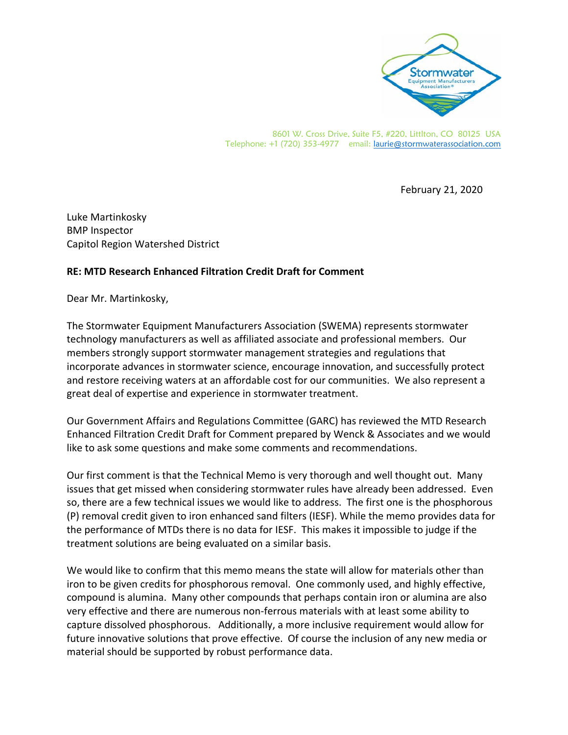

8601 W. Cross Drive, Suite F5, #220, Littlton, CO 80125 USA Telephone: +1 (720) 353-4977 email: laurie@stormwaterassociation.com

February 21, 2020

Luke Martinkosky BMP Inspector Capitol Region Watershed District

## **RE: MTD Research Enhanced Filtration Credit Draft for Comment**

Dear Mr. Martinkosky,

The Stormwater Equipment Manufacturers Association (SWEMA) represents stormwater technology manufacturers as well as affiliated associate and professional members. Our members strongly support stormwater management strategies and regulations that incorporate advances in stormwater science, encourage innovation, and successfully protect and restore receiving waters at an affordable cost for our communities. We also represent a great deal of expertise and experience in stormwater treatment.

Our Government Affairs and Regulations Committee (GARC) has reviewed the MTD Research Enhanced Filtration Credit Draft for Comment prepared by Wenck & Associates and we would like to ask some questions and make some comments and recommendations.

Our first comment is that the Technical Memo is very thorough and well thought out. Many issues that get missed when considering stormwater rules have already been addressed. Even so, there are a few technical issues we would like to address. The first one is the phosphorous (P) removal credit given to iron enhanced sand filters (IESF). While the memo provides data for the performance of MTDs there is no data for IESF. This makes it impossible to judge if the treatment solutions are being evaluated on a similar basis.

We would like to confirm that this memo means the state will allow for materials other than iron to be given credits for phosphorous removal. One commonly used, and highly effective, compound is alumina. Many other compounds that perhaps contain iron or alumina are also very effective and there are numerous non‐ferrous materials with at least some ability to capture dissolved phosphorous. Additionally, a more inclusive requirement would allow for future innovative solutions that prove effective. Of course the inclusion of any new media or material should be supported by robust performance data.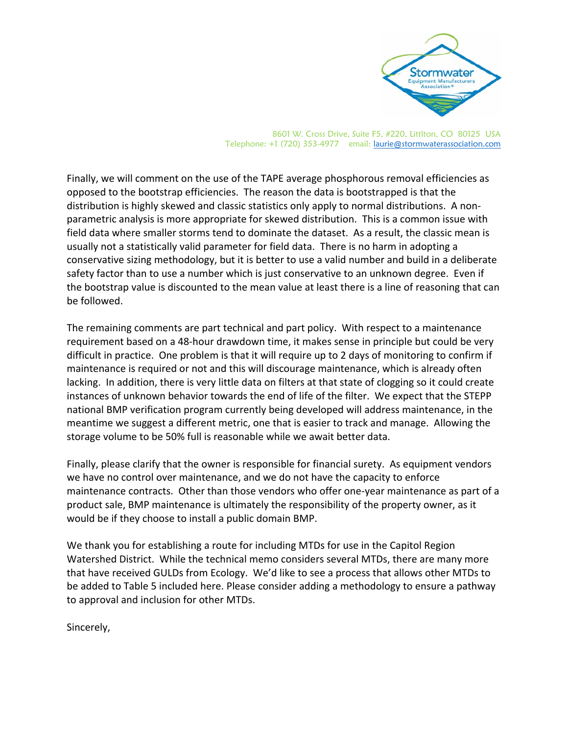

8601 W. Cross Drive, Suite F5, #220, Littlton, CO 80125 USA Telephone: +1 (720) 353-4977 email: laurie@stormwaterassociation.com

Finally, we will comment on the use of the TAPE average phosphorous removal efficiencies as opposed to the bootstrap efficiencies. The reason the data is bootstrapped is that the distribution is highly skewed and classic statistics only apply to normal distributions. A non‐ parametric analysis is more appropriate for skewed distribution. This is a common issue with field data where smaller storms tend to dominate the dataset. As a result, the classic mean is usually not a statistically valid parameter for field data. There is no harm in adopting a conservative sizing methodology, but it is better to use a valid number and build in a deliberate safety factor than to use a number which is just conservative to an unknown degree. Even if the bootstrap value is discounted to the mean value at least there is a line of reasoning that can be followed.

The remaining comments are part technical and part policy. With respect to a maintenance requirement based on a 48‐hour drawdown time, it makes sense in principle but could be very difficult in practice. One problem is that it will require up to 2 days of monitoring to confirm if maintenance is required or not and this will discourage maintenance, which is already often lacking. In addition, there is very little data on filters at that state of clogging so it could create instances of unknown behavior towards the end of life of the filter. We expect that the STEPP national BMP verification program currently being developed will address maintenance, in the meantime we suggest a different metric, one that is easier to track and manage. Allowing the storage volume to be 50% full is reasonable while we await better data.

Finally, please clarify that the owner is responsible for financial surety. As equipment vendors we have no control over maintenance, and we do not have the capacity to enforce maintenance contracts. Other than those vendors who offer one‐year maintenance as part of a product sale, BMP maintenance is ultimately the responsibility of the property owner, as it would be if they choose to install a public domain BMP.

We thank you for establishing a route for including MTDs for use in the Capitol Region Watershed District. While the technical memo considers several MTDs, there are many more that have received GULDs from Ecology. We'd like to see a process that allows other MTDs to be added to Table 5 included here. Please consider adding a methodology to ensure a pathway to approval and inclusion for other MTDs.

Sincerely,